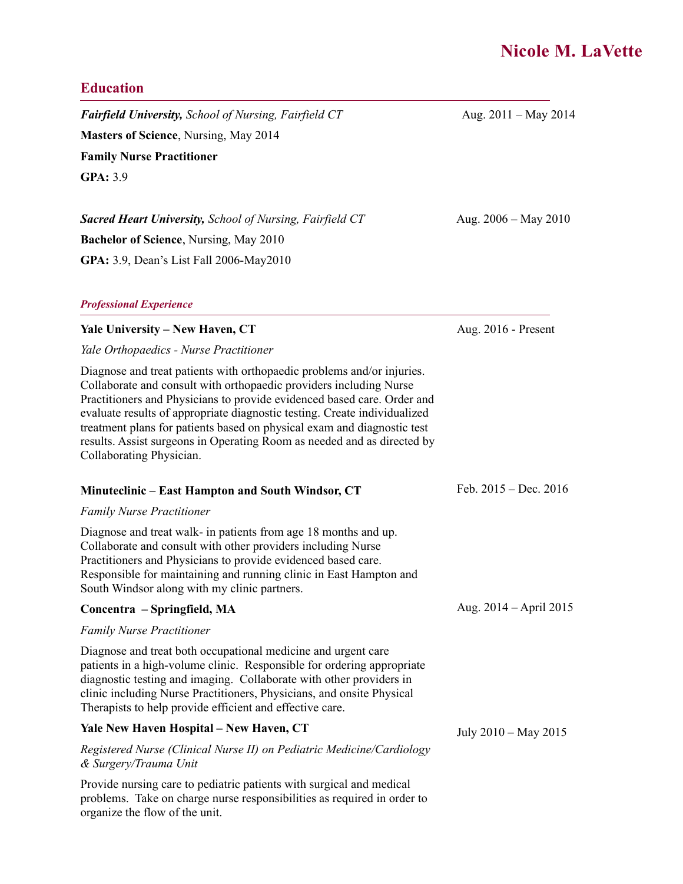# **Nicole M. LaVette**

### **Education**

*Fairfield University, School of Nursing, Fairfield CT* **6. Aug. 2011 – May 2014 Masters of Science**, Nursing, May 2014 **Family Nurse Practitioner GPA:** 3.9

**Sacred Heart University,** School of Nursing, Fairfield CT Aug. 2006 – May 2010 **Bachelor of Science**, Nursing, May 2010 **GPA:** 3.9, Dean's List Fall 2006-May2010

#### *Professional Experience*

#### **Yale University – New Haven, CT**

*Yale Orthopaedics - Nurse Practitioner*

Diagnose and treat patients with orthopaedic problems and/or injuries. Collaborate and consult with orthopaedic providers including Nurse Practitioners and Physicians to provide evidenced based care. Order and evaluate results of appropriate diagnostic testing. Create individualized treatment plans for patients based on physical exam and diagnostic test results. Assist surgeons in Operating Room as needed and as directed by Collaborating Physician.

#### **Minuteclinic – East Hampton and South Windsor, CT**

#### *Family Nurse Practitioner*

Diagnose and treat walk- in patients from age 18 months and up. Collaborate and consult with other providers including Nurse Practitioners and Physicians to provide evidenced based care. Responsible for maintaining and running clinic in East Hampton and South Windsor along with my clinic partners.

#### **Concentra – Springfield, MA**

#### *Family Nurse Practitioner*

Diagnose and treat both occupational medicine and urgent care patients in a high-volume clinic. Responsible for ordering appropriate diagnostic testing and imaging. Collaborate with other providers in clinic including Nurse Practitioners, Physicians, and onsite Physical Therapists to help provide efficient and effective care.

#### **Yale New Haven Hospital – New Haven, CT**

*Registered Nurse (Clinical Nurse II) on Pediatric Medicine/Cardiology & Surgery/Trauma Unit*

Provide nursing care to pediatric patients with surgical and medical problems. Take on charge nurse responsibilities as required in order to organize the flow of the unit.

Aug. 2016 - Present

Feb. 2015 – Dec. 2016

Aug. 2014 – April 2015

July 2010 – May 2015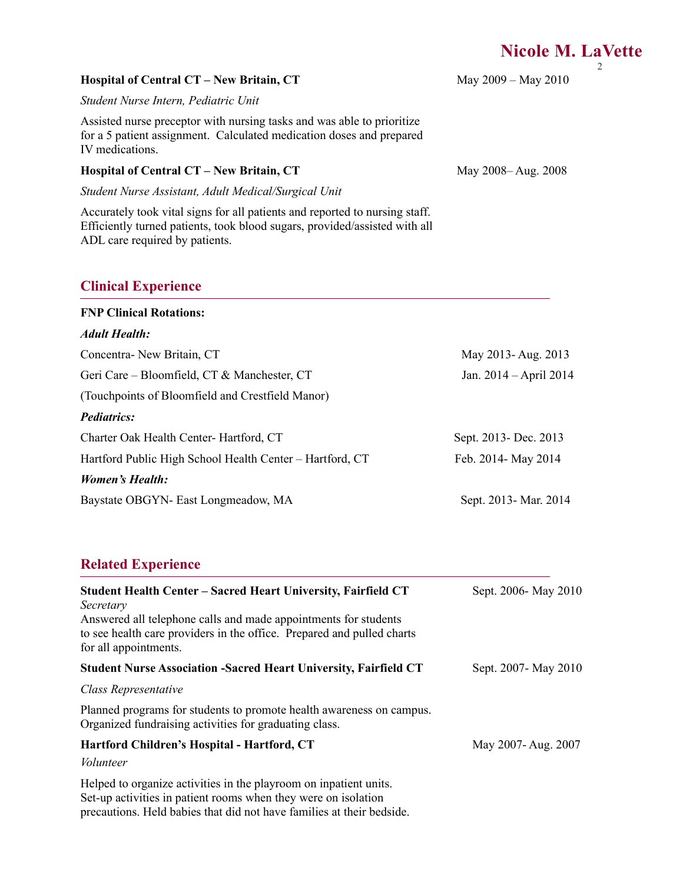#### May 2009 – May 2010

### **Hospital of Central CT – New Britain, CT**

*Student Nurse Intern, Pediatric Unit*

Assisted nurse preceptor with nursing tasks and was able to prioritize for a 5 patient assignment. Calculated medication doses and prepared IV medications.

#### **Hospital of Central CT – New Britain, CT**

*Student Nurse Assistant, Adult Medical/Surgical Unit*

Accurately took vital signs for all patients and reported to nursing staff. Efficiently turned patients, took blood sugars, provided/assisted with all ADL care required by patients.

## **Clinical Experience**

| <b>FNP Clinical Rotations:</b>                           |                        |
|----------------------------------------------------------|------------------------|
| <b>Adult Health:</b>                                     |                        |
| Concentra- New Britain, CT                               | May 2013-Aug. 2013     |
| Geri Care – Bloomfield, CT & Manchester, CT              | Jan. 2014 – April 2014 |
| (Touchpoints of Bloomfield and Crestfield Manor)         |                        |
| <i>Pediatrics:</i>                                       |                        |
| Charter Oak Health Center- Hartford, CT                  | Sept. 2013- Dec. 2013  |
| Hartford Public High School Health Center – Hartford, CT | Feb. 2014- May 2014    |
| <b>Women's Health:</b>                                   |                        |
| Baystate OBGYN- East Longmeadow, MA                      | Sept. 2013- Mar. 2014  |

### **Related Experience**

| <b>Student Health Center – Sacred Heart University, Fairfield CT</b><br>Secretary                                                                                                                            | Sept. 2006- May 2010 |
|--------------------------------------------------------------------------------------------------------------------------------------------------------------------------------------------------------------|----------------------|
| Answered all telephone calls and made appointments for students<br>to see health care providers in the office. Prepared and pulled charts<br>for all appointments.                                           |                      |
| <b>Student Nurse Association -Sacred Heart University, Fairfield CT</b>                                                                                                                                      | Sept. 2007- May 2010 |
| Class Representative                                                                                                                                                                                         |                      |
| Planned programs for students to promote health awareness on campus.<br>Organized fundraising activities for graduating class.                                                                               |                      |
| Hartford Children's Hospital - Hartford, CT                                                                                                                                                                  | May 2007- Aug. 2007  |
| Volunteer                                                                                                                                                                                                    |                      |
| Helped to organize activities in the playroom on inpatient units.<br>Set-up activities in patient rooms when they were on isolation<br>precautions. Held babies that did not have families at their bedside. |                      |

May 2008– Aug. 2008

2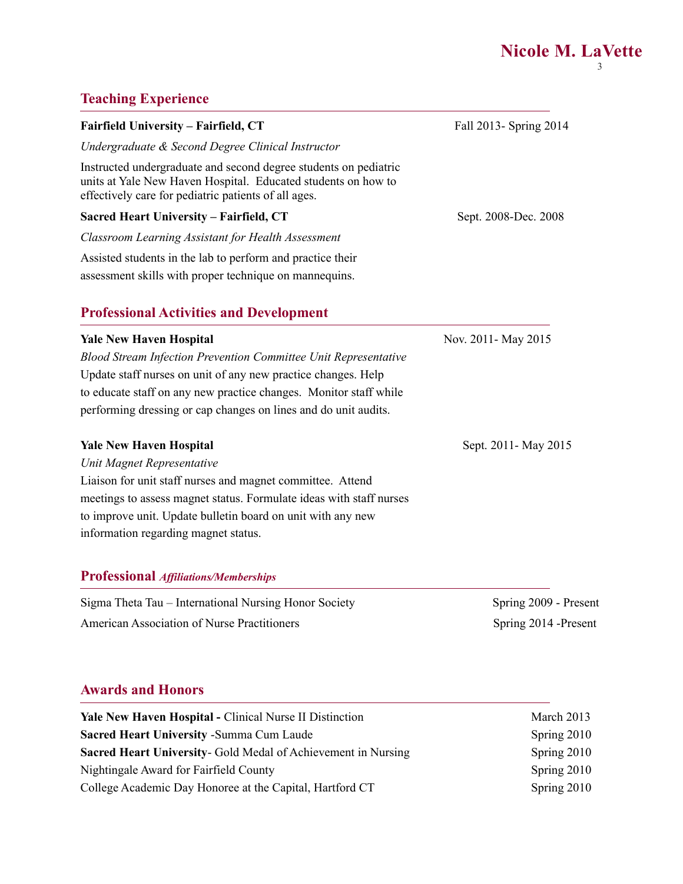## **Teaching Experience**

| Fairfield University – Fairfield, CT                                                                                                                                                      | Fall 2013- Spring 2014                  |
|-------------------------------------------------------------------------------------------------------------------------------------------------------------------------------------------|-----------------------------------------|
| Undergraduate & Second Degree Clinical Instructor                                                                                                                                         |                                         |
| Instructed undergraduate and second degree students on pediatric<br>units at Yale New Haven Hospital. Educated students on how to<br>effectively care for pediatric patients of all ages. |                                         |
| Sacred Heart University – Fairfield, CT                                                                                                                                                   | Sept. 2008-Dec. 2008                    |
| Classroom Learning Assistant for Health Assessment                                                                                                                                        |                                         |
| Assisted students in the lab to perform and practice their                                                                                                                                |                                         |
| assessment skills with proper technique on mannequins.                                                                                                                                    |                                         |
| <b>Professional Activities and Development</b>                                                                                                                                            |                                         |
| Volo Now Hoyan Hospital                                                                                                                                                                   | $N_{\alpha x}$ 2011 $M_{\alpha x}$ 2015 |

| <b>Yale New Haven Hospital</b>                                         | Nov. 2011- May 2015   |
|------------------------------------------------------------------------|-----------------------|
| <b>Blood Stream Infection Prevention Committee Unit Representative</b> |                       |
| Update staff nurses on unit of any new practice changes. Help          |                       |
| to educate staff on any new practice changes. Monitor staff while      |                       |
| performing dressing or cap changes on lines and do unit audits.        |                       |
| <b>Yale New Haven Hospital</b>                                         | Sept. 2011 - May 2015 |
| Unit Magnet Representative                                             |                       |
| Liaison for unit staff nurses and magnet committee. Attend             |                       |
| meetings to assess magnet status. Formulate ideas with staff nurses    |                       |
| to improve unit. Update bulletin board on unit with any new            |                       |
| information regarding magnet status.                                   |                       |
|                                                                        |                       |

## **Professional** *Affiliations/Memberships*

| Sigma Theta Tau – International Nursing Honor Society | Spring 2009 - Present |
|-------------------------------------------------------|-----------------------|
| <b>American Association of Nurse Practitioners</b>    | Spring 2014 -Present  |

## **Awards and Honors**

| <b>Yale New Haven Hospital - Clinical Nurse II Distinction</b>       | March 2013  |
|----------------------------------------------------------------------|-------------|
| <b>Sacred Heart University - Summa Cum Laude</b>                     | Spring 2010 |
| <b>Sacred Heart University-</b> Gold Medal of Achievement in Nursing | Spring 2010 |
| Nightingale Award for Fairfield County                               | Spring 2010 |
| College Academic Day Honoree at the Capital, Hartford CT             | Spring 2010 |